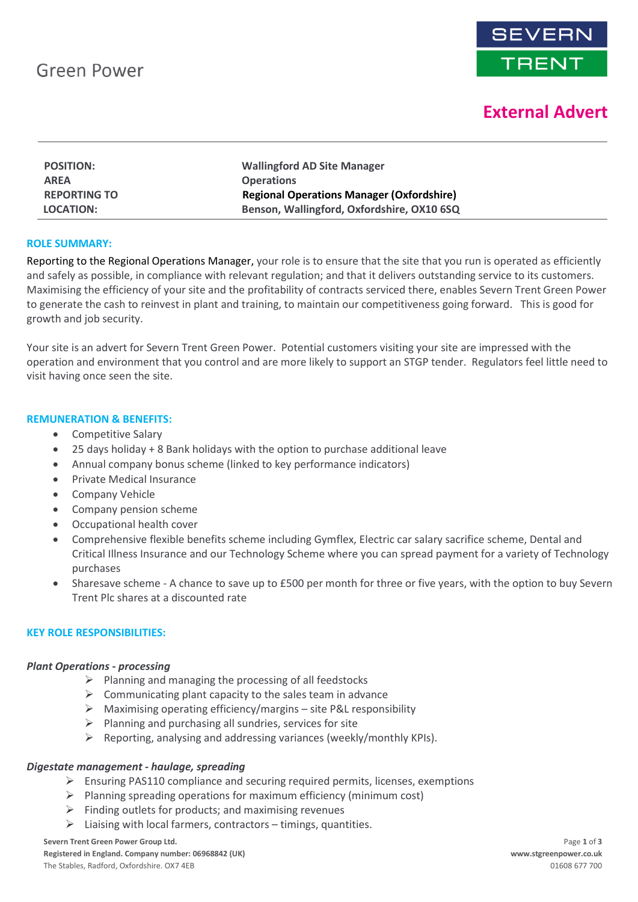

# **External Advert**

| <b>POSITION:</b>    | <b>Wallingford AD Site Manager</b>               |
|---------------------|--------------------------------------------------|
| <b>AREA</b>         | <b>Operations</b>                                |
| <b>REPORTING TO</b> | <b>Regional Operations Manager (Oxfordshire)</b> |
| <b>LOCATION:</b>    | Benson, Wallingford, Oxfordshire, OX10 6SQ       |

## **ROLE SUMMARY:**

Reporting to the Regional Operations Manager, your role is to ensure that the site that you run is operated as efficiently and safely as possible, in compliance with relevant regulation; and that it delivers outstanding service to its customers. Maximising the efficiency of your site and the profitability of contracts serviced there, enables Severn Trent Green Power to generate the cash to reinvest in plant and training, to maintain our competitiveness going forward. This is good for growth and job security.

Your site is an advert for Severn Trent Green Power. Potential customers visiting your site are impressed with the operation and environment that you control and are more likely to support an STGP tender. Regulators feel little need to visit having once seen the site.

#### **REMUNERATION & BENEFITS:**

- Competitive Salary
- 25 days holiday + 8 Bank holidays with the option to purchase additional leave
- Annual company bonus scheme (linked to key performance indicators)
- Private Medical Insurance
- Company Vehicle
- Company pension scheme
- Occupational health cover
- Comprehensive flexible benefits scheme including Gymflex, Electric car salary sacrifice scheme, Dental and Critical Illness Insurance and our Technology Scheme where you can spread payment for a variety of Technology purchases
- Sharesave scheme A chance to save up to £500 per month for three or five years, with the option to buy Severn Trent Plc shares at a discounted rate

## **KEY ROLE RESPONSIBILITIES:**

#### *Plant Operations - processing*

- ➢ Planning and managing the processing of all feedstocks
- $\triangleright$  Communicating plant capacity to the sales team in advance
- $\triangleright$  Maximising operating efficiency/margins site P&L responsibility
- $\triangleright$  Planning and purchasing all sundries, services for site
- $\triangleright$  Reporting, analysing and addressing variances (weekly/monthly KPIs).

## *Digestate management - haulage, spreading*

- $\triangleright$  Ensuring PAS110 compliance and securing required permits, licenses, exemptions
- $\triangleright$  Planning spreading operations for maximum efficiency (minimum cost)
- $\triangleright$  Finding outlets for products; and maximising revenues
- $\triangleright$  Liaising with local farmers, contractors timings, quantities.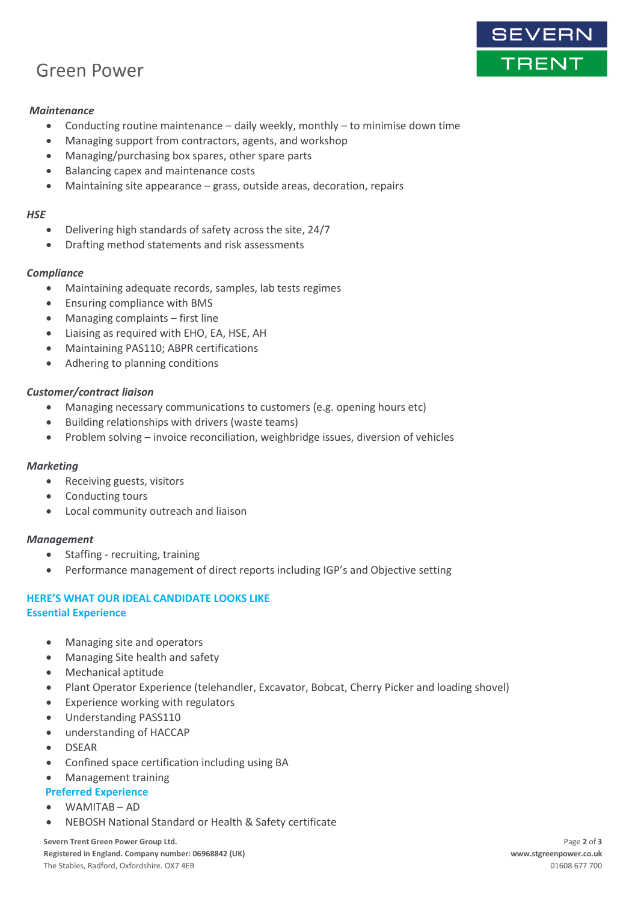# **Green Power**

# *Maintenance*

- Conducting routine maintenance daily weekly, monthly to minimise down time
- Managing support from contractors, agents, and workshop
- Managing/purchasing box spares, other spare parts
- Balancing capex and maintenance costs
- Maintaining site appearance grass, outside areas, decoration, repairs

#### *HSE*

- Delivering high standards of safety across the site, 24/7
- Drafting method statements and risk assessments

# *Compliance*

- Maintaining adequate records, samples, lab tests regimes
- Ensuring compliance with BMS
- Managing complaints first line
- Liaising as required with EHO, EA, HSE, AH
- Maintaining PAS110; ABPR certifications
- Adhering to planning conditions

# *Customer/contract liaison*

- Managing necessary communications to customers (e.g. opening hours etc)
- Building relationships with drivers (waste teams)
- Problem solving invoice reconciliation, weighbridge issues, diversion of vehicles

## *Marketing*

- Receiving guests, visitors
- Conducting tours
- Local community outreach and liaison

## *Management*

- Staffing recruiting, training
- Performance management of direct reports including IGP's and Objective setting

# **HERE'S WHAT OUR IDEAL CANDIDATE LOOKS LIKE**

## **Essential Experience**

- Managing site and operators
- Managing Site health and safety
- Mechanical aptitude
- Plant Operator Experience (telehandler, Excavator, Bobcat, Cherry Picker and loading shovel)
- Experience working with regulators
- Understanding PASS110
- understanding of HACCAP
- DSEAR
- Confined space certification including using BA
- Management training
- **Preferred Experience**
- WAMITAB AD
- NEBOSH National Standard or Health & Safety certificate